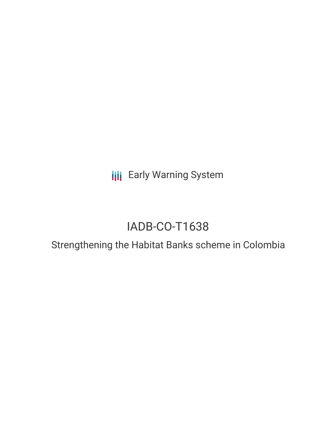**III** Early Warning System

# IADB-CO-T1638

## Strengthening the Habitat Banks scheme in Colombia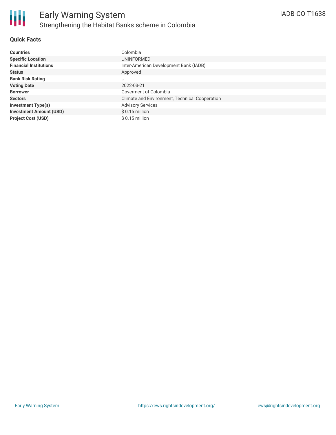

### **Quick Facts**

| <b>Countries</b>               | Colombia                                       |
|--------------------------------|------------------------------------------------|
| <b>Specific Location</b>       | UNINFORMED                                     |
| <b>Financial Institutions</b>  | Inter-American Development Bank (IADB)         |
| <b>Status</b>                  | Approved                                       |
| <b>Bank Risk Rating</b>        | U                                              |
| <b>Voting Date</b>             | 2022-03-21                                     |
| <b>Borrower</b>                | Goverment of Colombia                          |
| <b>Sectors</b>                 | Climate and Environment, Technical Cooperation |
| <b>Investment Type(s)</b>      | <b>Advisory Services</b>                       |
| <b>Investment Amount (USD)</b> | $$0.15$ million                                |
| <b>Project Cost (USD)</b>      | $$0.15$ million                                |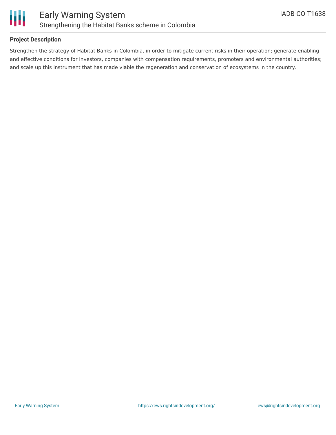

### **Project Description**

Strengthen the strategy of Habitat Banks in Colombia, in order to mitigate current risks in their operation; generate enabling and effective conditions for investors, companies with compensation requirements, promoters and environmental authorities; and scale up this instrument that has made viable the regeneration and conservation of ecosystems in the country.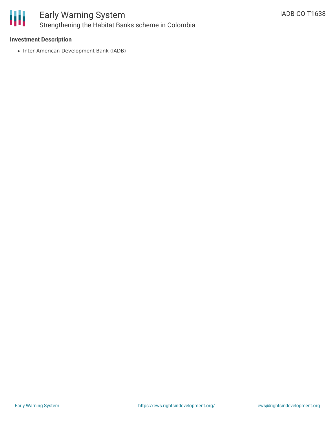

### Early Warning System Strengthening the Habitat Banks scheme in Colombia

### **Investment Description**

• Inter-American Development Bank (IADB)